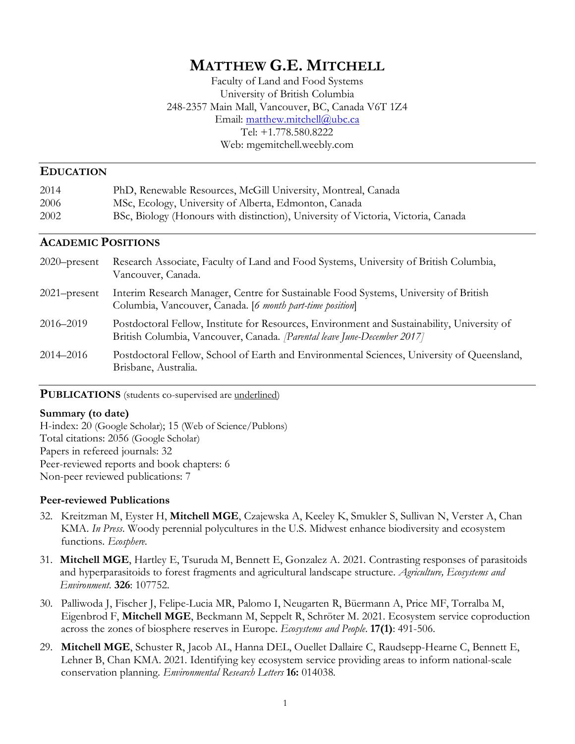# **MATTHEW G.E. MITCHELL**

Faculty of Land and Food Systems University of British Columbia 248-2357 Main Mall, Vancouver, BC, Canada V6T 1Z4 Email: matthew.mitchell@ubc.ca Tel: +1.778.580.8222 Web: mgemitchell.weebly.com

### **EDUCATION**

| 2014 | PhD, Renewable Resources, McGill University, Montreal, Canada                     |
|------|-----------------------------------------------------------------------------------|
| 2006 | MSc, Ecology, University of Alberta, Edmonton, Canada                             |
| 2002 | BSc, Biology (Honours with distinction), University of Victoria, Victoria, Canada |

### **ACADEMIC POSITIONS**

| $2020$ -present | Research Associate, Faculty of Land and Food Systems, University of British Columbia,<br>Vancouver, Canada.                                                                  |
|-----------------|------------------------------------------------------------------------------------------------------------------------------------------------------------------------------|
| $2021$ -present | Interim Research Manager, Centre for Sustainable Food Systems, University of British<br>Columbia, Vancouver, Canada. [6 month part-time position]                            |
| 2016–2019       | Postdoctoral Fellow, Institute for Resources, Environment and Sustainability, University of<br>British Columbia, Vancouver, Canada. <i>Parental leave June-December 2017</i> |
| 2014-2016       | Postdoctoral Fellow, School of Earth and Environmental Sciences, University of Queensland,<br>Brisbane, Australia.                                                           |

### **PUBLICATIONS** (students co-supervised are <u>underlined</u>)

#### **Summary (to date)**

H-index: 20 (Google Scholar); 15 (Web of Science/Publons) Total citations: 2056 (Google Scholar) Papers in refereed journals: 32 Peer-reviewed reports and book chapters: 6 Non-peer reviewed publications: 7

### **Peer-reviewed Publications**

- 32. Kreitzman M, Eyster H, **Mitchell MGE**, Czajewska A, Keeley K, Smukler S, Sullivan N, Verster A, Chan KMA. *In Press*. Woody perennial polycultures in the U.S. Midwest enhance biodiversity and ecosystem functions. *Ecosphere.*
- 31. **Mitchell MGE**, Hartley E, Tsuruda M, Bennett E, Gonzalez A. 2021*.* Contrasting responses of parasitoids and hyperparasitoids to forest fragments and agricultural landscape structure. *Agriculture, Ecosystems and Environment.* **326**: 107752.
- 30. Palliwoda J, Fischer J, Felipe-Lucia MR, Palomo I, Neugarten R, Büermann A, Price MF, Torralba M, Eigenbrod F, **Mitchell MGE**, Beckmann M, Seppelt R, Schröter M. 2021. Ecosystem service coproduction across the zones of biosphere reserves in Europe. *Ecosystems and People*. **17(1)**: 491-506.
- 29. **Mitchell MGE**, Schuster R, Jacob AL, Hanna DEL, Ouellet Dallaire C, Raudsepp-Hearne C, Bennett E, Lehner B, Chan KMA. 2021. Identifying key ecosystem service providing areas to inform national-scale conservation planning. *Environmental Research Letters* **16:** 014038*.*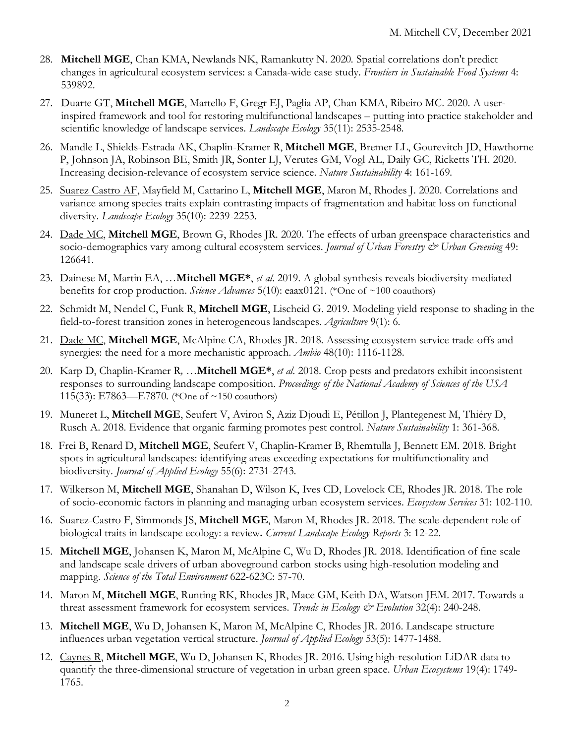- 28. **Mitchell MGE**, Chan KMA, Newlands NK, Ramankutty N. 2020*.* Spatial correlations don't predict changes in agricultural ecosystem services: a Canada-wide case study. *Frontiers in Sustainable Food Systems* 4: 539892.
- 27. Duarte GT, **Mitchell MGE**, Martello F, Gregr EJ, Paglia AP, Chan KMA, Ribeiro MC. 2020. A userinspired framework and tool for restoring multifunctional landscapes – putting into practice stakeholder and scientific knowledge of landscape services. *Landscape Ecology* 35(11): 2535-2548*.*
- 26. Mandle L, Shields-Estrada AK, Chaplin-Kramer R, **Mitchell MGE**, Bremer LL, Gourevitch JD, Hawthorne P, Johnson JA, Robinson BE, Smith JR, Sonter LJ, Verutes GM, Vogl AL, Daily GC, Ricketts TH. 2020. Increasing decision-relevance of ecosystem service science. *Nature Sustainability* 4: 161-169*.*
- 25. Suarez Castro AF, Mayfield M, Cattarino L, **Mitchell MGE**, Maron M, Rhodes J. 2020. Correlations and variance among species traits explain contrasting impacts of fragmentation and habitat loss on functional diversity. *Landscape Ecology* 35(10): 2239-2253.
- 24. Dade MC, **Mitchell MGE**, Brown G, Rhodes JR. 2020. The effects of urban greenspace characteristics and socio-demographics vary among cultural ecosystem services. *Journal of Urban Forestry & Urban Greening* 49: 126641.
- 23. Dainese M, Martin EA, …**Mitchell MGE\***, *et al*. 2019. A global synthesis reveals biodiversity-mediated benefits for crop production. *Science Advances* 5(10): eaax0121. (\*One of ~100 coauthors)
- 22. Schmidt M, Nendel C, Funk R, **Mitchell MGE**, Lischeid G. 2019. Modeling yield response to shading in the field-to-forest transition zones in heterogeneous landscapes. *Agriculture* 9(1): 6.
- 21. Dade MC, **Mitchell MGE**, McAlpine CA, Rhodes JR. 2018. Assessing ecosystem service trade-offs and synergies: the need for a more mechanistic approach. *Ambio* 48(10): 1116-1128.
- 20. Karp D, Chaplin-Kramer R*, …***Mitchell MGE\***, *et al*. 2018. Crop pests and predators exhibit inconsistent responses to surrounding landscape composition. *Proceedings of the National Academy of Sciences of the USA* 115(33): E7863—E7870*.* (\*One of ~150 coauthors)
- 19. Muneret L, **Mitchell MGE**, Seufert V, Aviron S, Aziz Djoudi E, Pétillon J, Plantegenest M, Thiéry D, Rusch A. 2018. Evidence that organic farming promotes pest control. *Nature Sustainability* 1: 361-368.
- 18. Frei B, Renard D, **Mitchell MGE**, Seufert V, Chaplin-Kramer B, Rhemtulla J, Bennett EM. 2018. Bright spots in agricultural landscapes: identifying areas exceeding expectations for multifunctionality and biodiversity. *Journal of Applied Ecology* 55(6): 2731-2743.
- 17. Wilkerson M, **Mitchell MGE**, Shanahan D, Wilson K, Ives CD, Lovelock CE, Rhodes JR. 2018. The role of socio-economic factors in planning and managing urban ecosystem services. *Ecosystem Services* 31: 102-110.
- 16. Suarez-Castro F, Simmonds JS, **Mitchell MGE**, Maron M, Rhodes JR. 2018. The scale-dependent role of biological traits in landscape ecology: a review**.** *Current Landscape Ecology Reports* 3: 12-22.
- 15. **Mitchell MGE**, Johansen K, Maron M, McAlpine C, Wu D, Rhodes JR. 2018. Identification of fine scale and landscape scale drivers of urban aboveground carbon stocks using high-resolution modeling and mapping. *Science of the Total Environment* 622-623C: 57-70.
- 14. Maron M, **Mitchell MGE**, Runting RK, Rhodes JR, Mace GM, Keith DA, Watson JEM. 2017. Towards a threat assessment framework for ecosystem services. *Trends in Ecology & Evolution* 32(4): 240-248.
- 13. **Mitchell MGE**, Wu D, Johansen K, Maron M, McAlpine C, Rhodes JR. 2016. Landscape structure influences urban vegetation vertical structure. *Journal of Applied Ecology* 53(5): 1477-1488.
- 12. Caynes R, **Mitchell MGE**, Wu D, Johansen K, Rhodes JR. 2016. Using high-resolution LiDAR data to quantify the three-dimensional structure of vegetation in urban green space. *Urban Ecosystems* 19(4): 1749- 1765.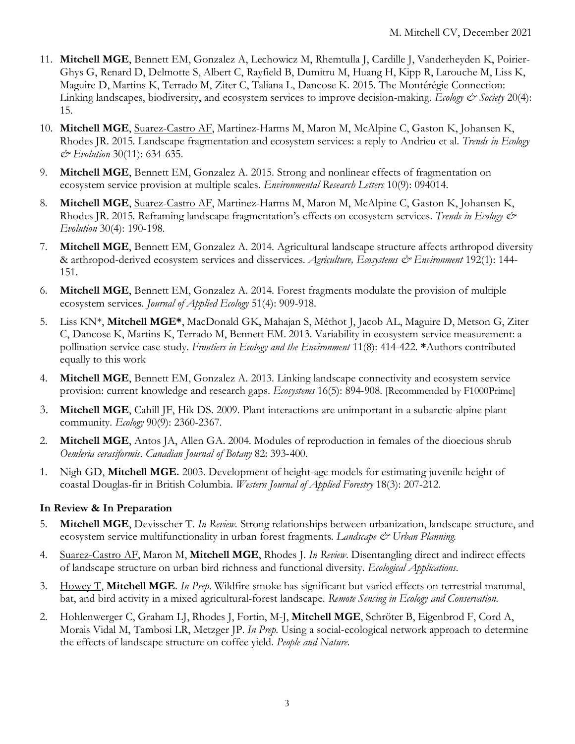- 11. **Mitchell MGE**, Bennett EM, Gonzalez A, Lechowicz M, Rhemtulla J, Cardille J, Vanderheyden K, Poirier-Ghys G, Renard D, Delmotte S, Albert C, Rayfield B, Dumitru M, Huang H, Kipp R, Larouche M, Liss K, Maguire D, Martins K, Terrado M, Ziter C, Taliana L, Dancose K. 2015. The Montérégie Connection: Linking landscapes, biodiversity, and ecosystem services to improve decision-making. *Ecology & Society* 20(4): 15.
- 10. **Mitchell MGE**, Suarez-Castro AF, Martinez-Harms M, Maron M, McAlpine C, Gaston K, Johansen K, Rhodes JR. 2015. Landscape fragmentation and ecosystem services: a reply to Andrieu et al. *Trends in Ecology & Evolution* 30(11): 634-635.
- 9. **Mitchell MGE**, Bennett EM, Gonzalez A. 2015. Strong and nonlinear effects of fragmentation on ecosystem service provision at multiple scales. *Environmental Research Letters* 10(9): 094014.
- 8. **Mitchell MGE**, Suarez-Castro AF, Martinez-Harms M, Maron M, McAlpine C, Gaston K, Johansen K, Rhodes JR. 2015. Reframing landscape fragmentation's effects on ecosystem services. *Trends in Ecology & Evolution* 30(4): 190-198.
- 7. **Mitchell MGE**, Bennett EM, Gonzalez A. 2014. Agricultural landscape structure affects arthropod diversity & arthropod-derived ecosystem services and disservices. *Agriculture, Ecosystems & Environment* 192(1): 144- 151.
- 6. **Mitchell MGE**, Bennett EM, Gonzalez A. 2014. Forest fragments modulate the provision of multiple ecosystem services. *Journal of Applied Ecology* 51(4): 909-918.
- 5. Liss KN\*, **Mitchell MGE\***, MacDonald GK, Mahajan S, Méthot J, Jacob AL, Maguire D, Metson G, Ziter C, Dancose K, Martins K, Terrado M, Bennett EM. 2013. Variability in ecosystem service measurement: a pollination service case study. *Frontiers in Ecology and the Environment* 11(8): 414-422. **\***Authors contributed equally to this work
- 4. **Mitchell MGE**, Bennett EM, Gonzalez A. 2013. Linking landscape connectivity and ecosystem service provision: current knowledge and research gaps. *Ecosystems* 16(5): 894-908. [Recommended by F1000Prime]
- 3. **Mitchell MGE**, Cahill JF, Hik DS. 2009. Plant interactions are unimportant in a subarctic-alpine plant community. *Ecology* 90(9): 2360-2367.
- 2. **Mitchell MGE**, Antos JA, Allen GA. 2004. Modules of reproduction in females of the dioecious shrub *Oemleria cerasiformis*. *Canadian Journal of Botany* 82: 393-400.
- 1. Nigh GD, **Mitchell MGE.** 2003. Development of height-age models for estimating juvenile height of coastal Douglas-fir in British Columbia. *Western Journal of Applied Forestry* 18(3): 207-212.

# **In Review & In Preparation**

- 5. **Mitchell MGE**, Devisscher T. *In Review.* Strong relationships between urbanization, landscape structure, and ecosystem service multifunctionality in urban forest fragments. *Landscape & Urban Planning*.
- 4. Suarez-Castro AF, Maron M, **Mitchell MGE**, Rhodes J. *In Review*. Disentangling direct and indirect effects of landscape structure on urban bird richness and functional diversity. *Ecological Applications.*
- 3. Howey T, **Mitchell MGE**. *In Prep*. Wildfire smoke has significant but varied effects on terrestrial mammal, bat, and bird activity in a mixed agricultural-forest landscape. *Remote Sensing in Ecology and Conservation*.
- 2. Hohlenwerger C, Graham LJ, Rhodes J, Fortin, M-J, **Mitchell MGE**, Schröter B, Eigenbrod F, Cord A, Morais Vidal M, Tambosi LR, Metzger JP. *In Prep*. Using a social-ecological network approach to determine the effects of landscape structure on coffee yield. *People and Nature.*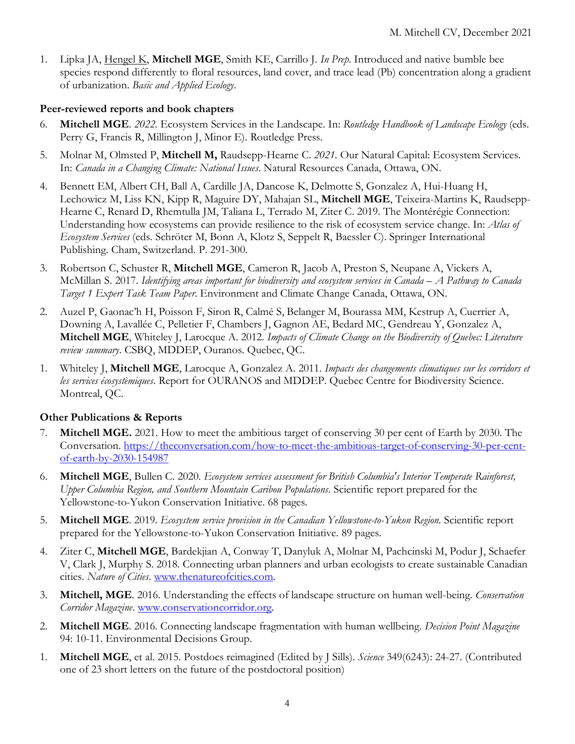1. Lipka JA, Hengel K, **Mitchell MGE**, Smith KE, Carrillo J. *In Prep*. Introduced and native bumble bee species respond differently to floral resources, land cover, and trace lead (Pb) concentration along a gradient of urbanization. *Basic and Applied Ecology*.

## **Peer-reviewed reports and book chapters**

- 6. **Mitchell MGE**. *2022*. Ecosystem Services in the Landscape. In: *Routledge Handbook of Landscape Ecology* (eds. Perry G, Francis R, Millington J, Minor E). Routledge Press.
- 5. Molnar M, Olmsted P, **Mitchell M,** Raudsepp-Hearne C. *2021*. Our Natural Capital: Ecosystem Services. In: *Canada in a Changing Climate: National Issues*. Natural Resources Canada, Ottawa, ON.
- 4. Bennett EM, Albert CH, Ball A, Cardille JA, Dancose K, Delmotte S, Gonzalez A, Hui-Huang H, Lechowicz M, Liss KN, Kipp R, Maguire DY, Mahajan SL, **Mitchell MGE**, Teixeira-Martins K, Raudsepp-Hearne C, Renard D, Rhemtulla JM, Taliana L, Terrado M, Ziter C. 2019. The Montérégie Connection: Understanding how ecosystems can provide resilience to the risk of ecosystem service change. In: *Atlas of Ecosystem Services* (eds. Schröter M, Bonn A, Klotz S, Seppelt R, Baessler C). Springer International Publishing. Cham, Switzerland. P. 291-300.
- 3. Robertson C, Schuster R, **Mitchell MGE**, Cameron R, Jacob A, Preston S, Neupane A, Vickers A, McMillan S. 2017. *Identifying areas important for biodiversity and ecosystem services in Canada – A Pathway to Canada Target 1 Expert Task Team Paper*. Environment and Climate Change Canada, Ottawa, ON.
- 2. Auzel P, Gaonac'h H, Poisson F, Siron R, Calmé S, Belanger M, Bourassa MM, Kestrup A, Cuerrier A, Downing A, Lavallée C, Pelletier F, Chambers J, Gagnon AE, Bedard MC, Gendreau Y, Gonzalez A, **Mitchell MGE**, Whiteley J, Larocque A. 2012. *Impacts of Climate Change on the Biodiversity of Quebec: Literature review summary*. CSBQ, MDDEP, Ouranos. Quebec, QC.
- 1. Whiteley J, **Mitchell MGE**, Larocque A, Gonzalez A. 2011. *Impacts des changements climatiques sur les corridors et les services écosystèmiques*. Report for OURANOS and MDDEP. Quebec Centre for Biodiversity Science. Montreal, QC.

# **Other Publications & Reports**

- 7. **Mitchell MGE.** 2021. How to meet the ambitious target of conserving 30 per cent of Earth by 2030. The Conversation. https://theconversation.com/how-to-meet-the-ambitious-target-of-conserving-30-per-centof-earth-by-2030-154987
- 6. **Mitchell MGE**, Bullen C. 2020. *Ecosystem services assessment for British Columbia's Interior Temperate Rainforest, Upper Columbia Region, and Southern Mountain Caribou Populations.* Scientific report prepared for the Yellowstone-to-Yukon Conservation Initiative. 68 pages.
- 5. **Mitchell MGE**. 2019. *Ecosystem service provision in the Canadian Yellowstone-to-Yukon Region.* Scientific report prepared for the Yellowstone-to-Yukon Conservation Initiative. 89 pages.
- 4. Ziter C, **Mitchell MGE**, Bardekjian A, Conway T, Danyluk A, Molnar M, Pachcinski M, Podur J, Schaefer V, Clark J, Murphy S. 2018. Connecting urban planners and urban ecologists to create sustainable Canadian cities. *Nature of Cities*. www.thenatureofcities.com.
- 3. **Mitchell, MGE**. 2016. Understanding the effects of landscape structure on human well-being. *Conservation Corridor Magazine*. www.conservationcorridor.org.
- 2. **Mitchell MGE**. 2016. Connecting landscape fragmentation with human wellbeing. *Decision Point Magazine*  94: 10-11. Environmental Decisions Group.
- 1. **Mitchell MGE**, et al. 2015. Postdocs reimagined (Edited by J Sills). *Science* 349(6243): 24-27. (Contributed one of 23 short letters on the future of the postdoctoral position)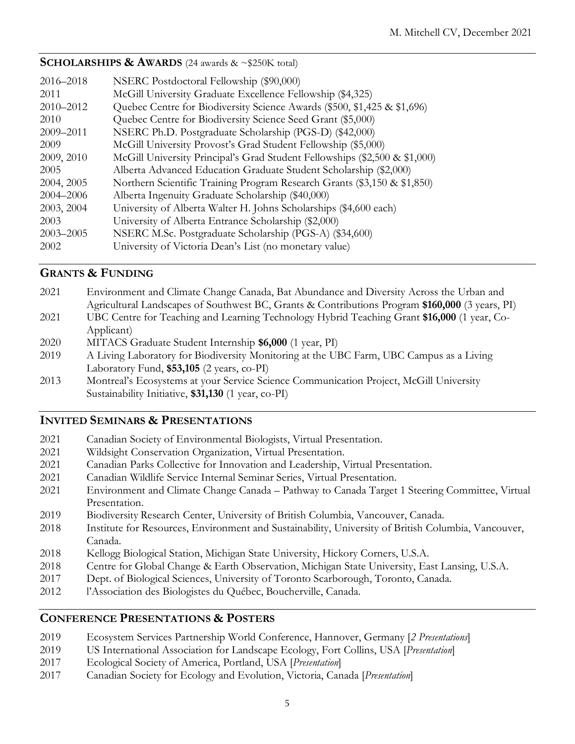## **SCHOLARSHIPS & AWARDS** (24 awards & ~\$250K total)

| 2016–2018<br>2011 | NSERC Postdoctoral Fellowship (\$90,000)<br>McGill University Graduate Excellence Fellowship (\$4,325) |
|-------------------|--------------------------------------------------------------------------------------------------------|
|                   |                                                                                                        |
| 2010-2012         | Quebec Centre for Biodiversity Science Awards (\$500, \$1,425 & \$1,696)                               |
| 2010              | Quebec Centre for Biodiversity Science Seed Grant (\$5,000)                                            |
| 2009–2011         | NSERC Ph.D. Postgraduate Scholarship (PGS-D) (\$42,000)                                                |
| 2009              | McGill University Provost's Grad Student Fellowship (\$5,000)                                          |
| 2009, 2010        | McGill University Principal's Grad Student Fellowships (\$2,500 & \$1,000)                             |
| 2005              | Alberta Advanced Education Graduate Student Scholarship (\$2,000)                                      |
| 2004, 2005        | Northern Scientific Training Program Research Grants (\$3,150 & \$1,850)                               |
| 2004–2006         | Alberta Ingenuity Graduate Scholarship (\$40,000)                                                      |
| 2003, 2004        | University of Alberta Walter H. Johns Scholarships (\$4,600 each)                                      |
| 2003              | University of Alberta Entrance Scholarship (\$2,000)                                                   |
| $2003 - 2005$     | NSERC M.Sc. Postgraduate Scholarship (PGS-A) (\$34,600)                                                |
| 2002              | University of Victoria Dean's List (no monetary value)                                                 |

# **GRANTS & FUNDING**

| 2021 | Environment and Climate Change Canada, Bat Abundance and Diversity Across the Urban and         |
|------|-------------------------------------------------------------------------------------------------|
|      | Agricultural Landscapes of Southwest BC, Grants & Contributions Program \$160,000 (3 years, PI) |
| 2021 | UBC Centre for Teaching and Learning Technology Hybrid Teaching Grant \$16,000 (1 year, Co-     |
|      | Applicant)                                                                                      |
| 2020 | MITACS Graduate Student Internship \$6,000 (1 year, PI)                                         |
| 2019 | A Living Laboratory for Biodiversity Monitoring at the UBC Farm, UBC Campus as a Living         |
|      | Laboratory Fund, \$53,105 (2 years, co-PI)                                                      |
| 2013 | Montreal's Ecosystems at your Service Science Communication Project, McGill University          |

### **INVITED SEMINARS & PRESENTATIONS**

- 2021 Canadian Society of Environmental Biologists, Virtual Presentation.
- 2021 Wildsight Conservation Organization, Virtual Presentation.

Sustainability Initiative, **\$31,130** (1 year, co-PI)

- 2021 Canadian Parks Collective for Innovation and Leadership, Virtual Presentation.
- 2021 Canadian Wildlife Service Internal Seminar Series, Virtual Presentation.
- 2021 Environment and Climate Change Canada Pathway to Canada Target 1 Steering Committee, Virtual Presentation.
- 2019 Biodiversity Research Center, University of British Columbia, Vancouver, Canada.
- 2018 Institute for Resources, Environment and Sustainability, University of British Columbia, Vancouver, Canada.
- 2018 Kellogg Biological Station, Michigan State University, Hickory Corners, U.S.A.
- 2018 Centre for Global Change & Earth Observation, Michigan State University, East Lansing, U.S.A.
- 2017 Dept. of Biological Sciences, University of Toronto Scarborough, Toronto, Canada.
- 2012 l'Association des Biologistes du Québec, Boucherville, Canada.

### **CONFERENCE PRESENTATIONS & POSTERS**

- 2019 Ecosystem Services Partnership World Conference, Hannover, Germany [*2 Presentations*]
- 2019 US International Association for Landscape Ecology, Fort Collins, USA [*Presentation*]
- 2017 Ecological Society of America, Portland, USA [*Presentation*]
- 2017 Canadian Society for Ecology and Evolution, Victoria, Canada [*Presentation*]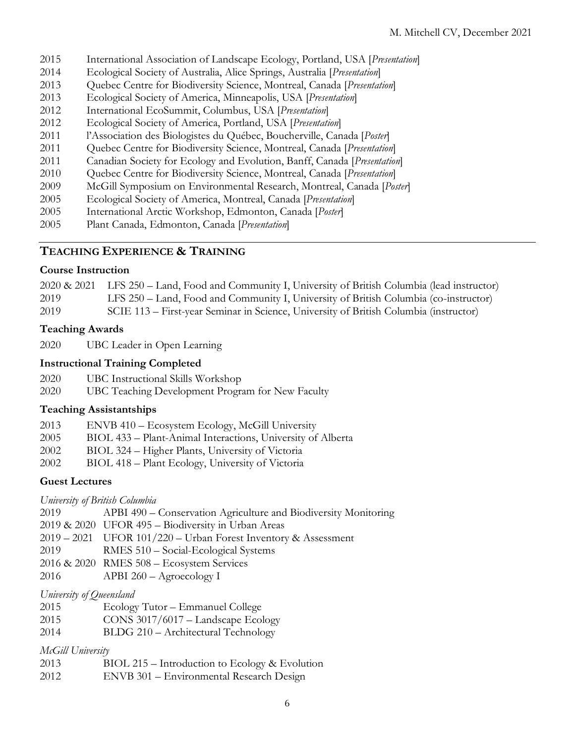- International Association of Landscape Ecology, Portland, USA [*Presentation*]
- Ecological Society of Australia, Alice Springs, Australia [*Presentation*]
- Quebec Centre for Biodiversity Science, Montreal, Canada [*Presentation*]
- Ecological Society of America, Minneapolis, USA [*Presentation*]
- International EcoSummit, Columbus, USA [*Presentation*]
- Ecological Society of America, Portland, USA [*Presentation*]
- l'Association des Biologistes du Québec, Boucherville, Canada [*Poster*]
- Quebec Centre for Biodiversity Science, Montreal, Canada [*Presentation*]
- Canadian Society for Ecology and Evolution, Banff, Canada [*Presentation*]
- Quebec Centre for Biodiversity Science, Montreal, Canada [*Presentation*]
- McGill Symposium on Environmental Research, Montreal, Canada [*Poster*]
- Ecological Society of America, Montreal, Canada [*Presentation*]
- International Arctic Workshop, Edmonton, Canada [*Poster*]
- Plant Canada, Edmonton, Canada [*Presentation*]

### **TEACHING EXPERIENCE & TRAINING**

## **Course Instruction**

|      | 2020 & 2021 LFS 250 – Land, Food and Community I, University of British Columbia (lead instructor) |
|------|----------------------------------------------------------------------------------------------------|
| 2019 | LFS 250 – Land, Food and Community I, University of British Columbia (co-instructor)               |
| 2019 | SCIE 113 – First-year Seminar in Science, University of British Columbia (instructor)              |

### **Teaching Awards**

UBC Leader in Open Learning

### **Instructional Training Completed**

- UBC Instructional Skills Workshop
- UBC Teaching Development Program for New Faculty

### **Teaching Assistantships**

- ENVB 410 Ecosystem Ecology, McGill University
- BIOL 433 Plant-Animal Interactions, University of Alberta
- BIOL 324 Higher Plants, University of Victoria
- BIOL 418 Plant Ecology, University of Victoria

### **Guest Lectures**

*University of British Columbia*

APBI 490 – Conservation Agriculture and Biodiversity Monitoring

& 2020 UFOR 495 – Biodiversity in Urban Areas

- 2021 UFOR 101/220 Urban Forest Inventory & Assessment
- RMES 510 Social-Ecological Systems
- & 2020 RMES 508 Ecosystem Services
- APBI 260 Agroecology I

### *University of Queensland*

- Ecology Tutor Emmanuel College
- CONS 3017/6017 Landscape Ecology
- BLDG 210 Architectural Technology

### *McGill University*

- BIOL 215 Introduction to Ecology & Evolution
- ENVB 301 Environmental Research Design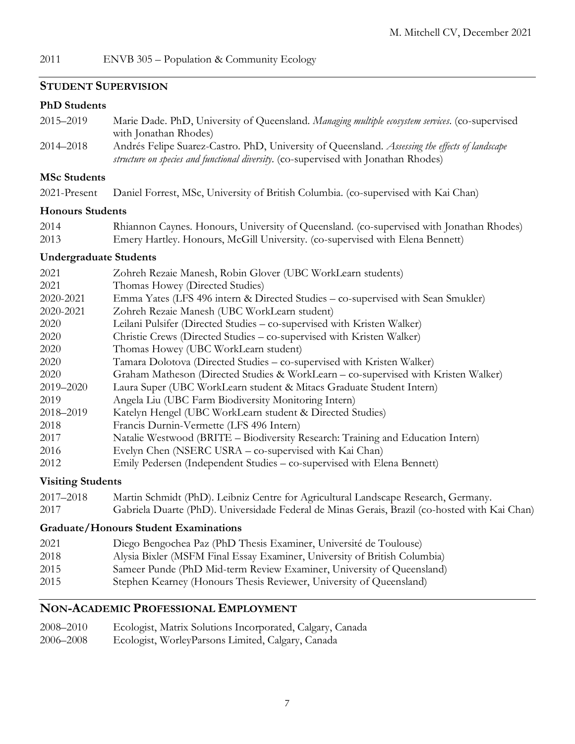## **STUDENT SUPERVISION**

#### **PhD Students**

| 2015–2019 | Marie Dade. PhD, University of Queensland. Managing multiple ecosystem services. (co-supervised |
|-----------|-------------------------------------------------------------------------------------------------|
|           | with Jonathan Rhodes)                                                                           |
| 2014–2018 | Andrés Felipe Suarez-Castro. PhD, University of Queensland. Assessing the effects of landscape  |
|           | <i>structure on species and functional diversity.</i> (co-supervised with Jonathan Rhodes)      |

# **MSc Students**

2021-Present Daniel Forrest, MSc, University of British Columbia. (co-supervised with Kai Chan)

# **Honours Students**

| 2014 | Rhiannon Caynes. Honours, University of Queensland. (co-supervised with Jonathan Rhodes) |
|------|------------------------------------------------------------------------------------------|
| 2013 | Emery Hartley. Honours, McGill University. (co-supervised with Elena Bennett)            |

# **Undergraduate Students**

| 2021         | Zohreh Rezaie Manesh, Robin Glover (UBC WorkLearn students)                        |
|--------------|------------------------------------------------------------------------------------|
| 2021         | Thomas Howey (Directed Studies)                                                    |
| 2020-2021    | Emma Yates (LFS 496 intern & Directed Studies - co-supervised with Sean Smukler)   |
| 2020-2021    | Zohreh Rezaie Manesh (UBC WorkLearn student)                                       |
| 2020         | Leilani Pulsifer (Directed Studies – co-supervised with Kristen Walker)            |
| 2020         | Christie Crews (Directed Studies – co-supervised with Kristen Walker)              |
| 2020         | Thomas Howey (UBC WorkLearn student)                                               |
| 2020         | Tamara Dolotova (Directed Studies – co-supervised with Kristen Walker)             |
| 2020         | Graham Matheson (Directed Studies & WorkLearn - co-supervised with Kristen Walker) |
| 2019-2020    | Laura Super (UBC WorkLearn student & Mitacs Graduate Student Intern)               |
| 2019         | Angela Liu (UBC Farm Biodiversity Monitoring Intern)                               |
| 2018-2019    | Katelyn Hengel (UBC WorkLearn student & Directed Studies)                          |
| 2018         | Francis Durnin-Vermette (LFS 496 Intern)                                           |
| 2017         | Natalie Westwood (BRITE – Biodiversity Research: Training and Education Intern)    |
| 2016         | Evelyn Chen (NSERC USRA – co-supervised with Kai Chan)                             |
| 2012         | Emily Pedersen (Independent Studies – co-supervised with Elena Bennett)            |
| $\mathbf{v}$ |                                                                                    |

### **Visiting Students**

| 2017-2018 | Martin Schmidt (PhD). Leibniz Centre for Agricultural Landscape Research, Germany.            |
|-----------|-----------------------------------------------------------------------------------------------|
| 2017      | Gabriela Duarte (PhD). Universidade Federal de Minas Gerais, Brazil (co-hosted with Kai Chan) |

# **Graduate/Honours Student Examinations**

| 2021 | Diego Bengochea Paz (PhD Thesis Examiner, Université de Toulouse)         |
|------|---------------------------------------------------------------------------|
| 2018 | Alysia Bixler (MSFM Final Essay Examiner, University of British Columbia) |
| 2015 | Sameer Punde (PhD Mid-term Review Examiner, University of Queensland)     |
| 2015 | Stephen Kearney (Honours Thesis Reviewer, University of Queensland)       |

# **NON-ACADEMIC PROFESSIONAL EMPLOYMENT**

| 2008–2010<br>Ecologist, Matrix Solutions Incorporated, Calgary, Canada |  |
|------------------------------------------------------------------------|--|
|------------------------------------------------------------------------|--|

2006–2008 Ecologist, WorleyParsons Limited, Calgary, Canada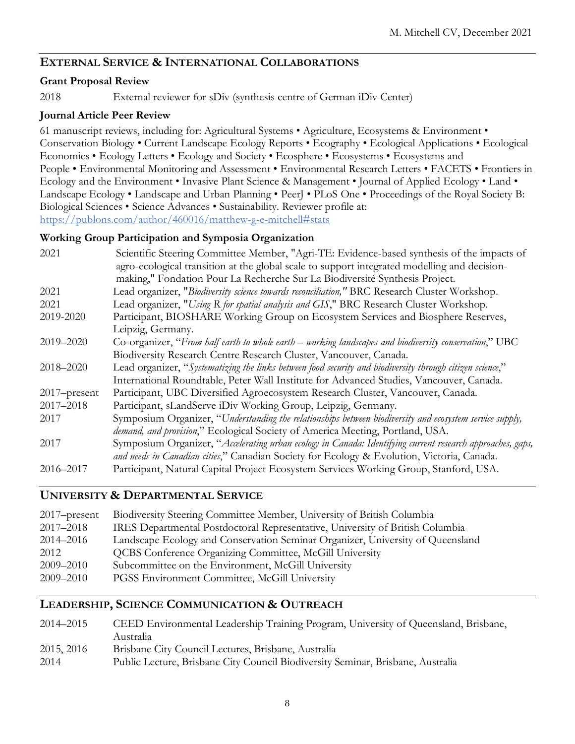# **EXTERNAL SERVICE & INTERNATIONAL COLLABORATIONS**

# **Grant Proposal Review**

2018 External reviewer for sDiv (synthesis centre of German iDiv Center)

# **Journal Article Peer Review**

61 manuscript reviews, including for: Agricultural Systems • Agriculture, Ecosystems & Environment • Conservation Biology • Current Landscape Ecology Reports • Ecography • Ecological Applications • Ecological Economics • Ecology Letters • Ecology and Society • Ecosphere • Ecosystems • Ecosystems and People • Environmental Monitoring and Assessment • Environmental Research Letters • FACETS • Frontiers in Ecology and the Environment • Invasive Plant Science & Management • Journal of Applied Ecology • Land • Landscape Ecology • Landscape and Urban Planning • PeerJ • PLoS One • Proceedings of the Royal Society B: Biological Sciences • Science Advances • Sustainability. Reviewer profile at: https://publons.com/author/460016/matthew-g-e-mitchell#stats

# **Working Group Participation and Symposia Organization**

| 2021            | Scientific Steering Committee Member, "Agri-TE: Evidence-based synthesis of the impacts of<br>agro-ecological transition at the global scale to support integrated modelling and decision-<br>making," Fondation Pour La Recherche Sur La Biodiversité Synthesis Project. |
|-----------------|---------------------------------------------------------------------------------------------------------------------------------------------------------------------------------------------------------------------------------------------------------------------------|
| 2021            | Lead organizer, "Biodiversity science towards reconciliation," BRC Research Cluster Workshop.                                                                                                                                                                             |
| 2021            | Lead organizer, "Using R for spatial analysis and GIS," BRC Research Cluster Workshop.                                                                                                                                                                                    |
| 2019-2020       | Participant, BIOSHARE Working Group on Ecosystem Services and Biosphere Reserves,                                                                                                                                                                                         |
|                 | Leipzig, Germany.                                                                                                                                                                                                                                                         |
| 2019-2020       | Co-organizer, "From half earth to whole earth – working landscapes and biodiversity conservation," UBC                                                                                                                                                                    |
|                 | Biodiversity Research Centre Research Cluster, Vancouver, Canada.                                                                                                                                                                                                         |
| 2018-2020       | Lead organizer, "Systematizing the links between food security and biodiversity through citizen science,"                                                                                                                                                                 |
|                 | International Roundtable, Peter Wall Institute for Advanced Studies, Vancouver, Canada.                                                                                                                                                                                   |
| $2017$ -present | Participant, UBC Diversified Agroecosystem Research Cluster, Vancouver, Canada.                                                                                                                                                                                           |
| 2017-2018       | Participant, sLandServe iDiv Working Group, Leipzig, Germany.                                                                                                                                                                                                             |
| 2017            | Symposium Organizer, "Understanding the relationships between biodiversity and ecosystem service supply,                                                                                                                                                                  |
|                 | demand, and provision," Ecological Society of America Meeting, Portland, USA.                                                                                                                                                                                             |
| 2017            | Symposium Organizer, "Accelerating urban ecology in Canada: Identifying current research approaches, gaps,                                                                                                                                                                |
|                 | and needs in Canadian cities," Canadian Society for Ecology & Evolution, Victoria, Canada.                                                                                                                                                                                |
| 2016–2017       | Participant, Natural Capital Project Ecosystem Services Working Group, Stanford, USA.                                                                                                                                                                                     |

# **UNIVERSITY & DEPARTMENTAL SERVICE**

| $2017$ -present | Biodiversity Steering Committee Member, University of British Columbia         |
|-----------------|--------------------------------------------------------------------------------|
| 2017-2018       | IRES Departmental Postdoctoral Representative, University of British Columbia  |
| 2014–2016       | Landscape Ecology and Conservation Seminar Organizer, University of Queensland |
| 2012            | <b>QCBS Conference Organizing Committee, McGill University</b>                 |
| 2009-2010       | Subcommittee on the Environment, McGill University                             |
| 2009-2010       | PGSS Environment Committee, McGill University                                  |
|                 |                                                                                |

# **LEADERSHIP, SCIENCE COMMUNICATION & OUTREACH**

| 2014–2015  | CEED Environmental Leadership Training Program, University of Queensland, Brisbane, |
|------------|-------------------------------------------------------------------------------------|
|            | Australia                                                                           |
| 2015, 2016 | Brisbane City Council Lectures, Brisbane, Australia                                 |
| 2014       | Public Lecture, Brisbane City Council Biodiversity Seminar, Brisbane, Australia     |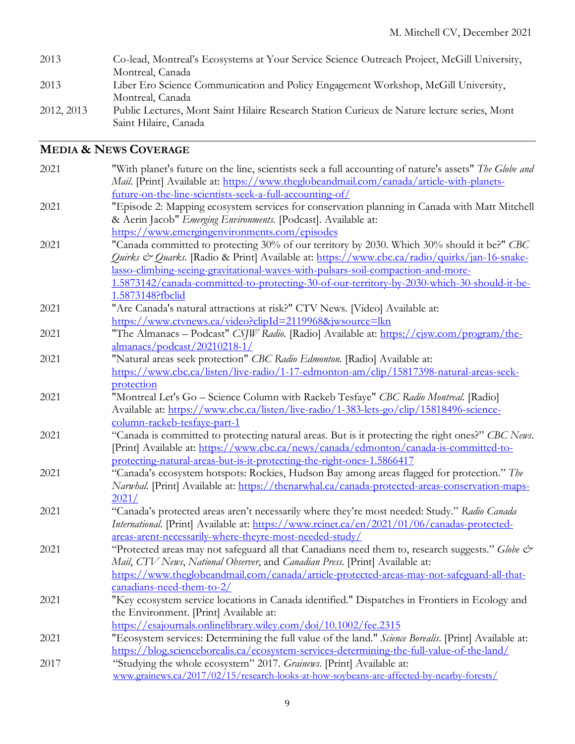| 2013       | Co-lead, Montreal's Ecosystems at Your Service Science Outreach Project, McGill University, |
|------------|---------------------------------------------------------------------------------------------|
|            | Montreal, Canada                                                                            |
| 2013       | Liber Ero Science Communication and Policy Engagement Workshop, McGill University,          |
|            | Montreal, Canada                                                                            |
| 2012, 2013 | Public Lectures, Mont Saint Hilaire Research Station Curieux de Nature lecture series, Mont |
|            | Saint Hilaire, Canada                                                                       |

# **MEDIA & NEWS COVERAGE**

| 2021 | "With planet's future on the line, scientists seek a full accounting of nature's assets" The Globe and<br>Mail. [Print] Available at: https://www.theglobeandmail.com/canada/article-with-planets- |
|------|----------------------------------------------------------------------------------------------------------------------------------------------------------------------------------------------------|
|      |                                                                                                                                                                                                    |
|      | future-on-the-line-scientists-seek-a-full-accounting-of/                                                                                                                                           |
| 2021 | "Episode 2: Mapping ecosystem services for conservation planning in Canada with Matt Mitchell                                                                                                      |
|      | & Aerin Jacob" Emerging Environments. [Podcast]. Available at:                                                                                                                                     |
|      | https://www.emergingenvironments.com/episodes                                                                                                                                                      |
| 2021 | "Canada committed to protecting 30% of our territory by 2030. Which 30% should it be?" CBC                                                                                                         |
|      | Quirks & Quarks. [Radio & Print] Available at: https://www.cbc.ca/radio/quirks/jan-16-snake-                                                                                                       |
|      | lasso-climbing-seeing-gravitational-waves-with-pulsars-soil-compaction-and-more-                                                                                                                   |
|      | 1.5873142/canada-committed-to-protecting-30-of-our-territory-by-2030-which-30-should-it-be-                                                                                                        |
|      | 1.5873148?fbclid                                                                                                                                                                                   |
| 2021 | "Are Canada's natural attractions at risk?" CTV News. [Video] Available at:                                                                                                                        |
|      | https://www.ctvnews.ca/video?clipId=2119968&jwsource=lkn                                                                                                                                           |
| 2021 | "The Almanacs - Podcast" CSJW Radio. [Radio] Available at: https://cjsw.com/program/the-                                                                                                           |
|      | almanacs/podcast/20210218-1/                                                                                                                                                                       |
| 2021 | "Natural areas seek protection" CBC Radio Edmonton. [Radio] Available at:                                                                                                                          |
|      | https://www.cbc.ca/listen/live-radio/1-17-edmonton-am/clip/15817398-natural-areas-seek-                                                                                                            |
|      | protection                                                                                                                                                                                         |
| 2021 | "Montreal Let's Go - Science Column with Rackeb Tesfaye" CBC Radio Montreal. [Radio]                                                                                                               |
|      | Available at: https://www.cbc.ca/listen/live-radio/1-383-lets-go/clip/15818496-science-                                                                                                            |
|      | column-rackeb-tesfaye-part-1                                                                                                                                                                       |
| 2021 | "Canada is committed to protecting natural areas. But is it protecting the right ones?" CBC News.                                                                                                  |
|      | [Print] Available at: https://www.cbc.ca/news/canada/edmonton/canada-is-committed-to-                                                                                                              |
|      | protecting-natural-areas-but-is-it-protecting-the-right-ones-1.5866417                                                                                                                             |
| 2021 | "Canada's ecosystem hotspots: Rockies, Hudson Bay among areas flagged for protection." The                                                                                                         |
|      | Narwhal. [Print] Available at: https://thenarwhal.ca/canada-protected-areas-conservation-maps-                                                                                                     |
|      | 2021/                                                                                                                                                                                              |
| 2021 | "Canada's protected areas aren't necessarily where they're most needed: Study." Radio Canada                                                                                                       |
|      | International. [Print] Available at: https://www.rcinet.ca/en/2021/01/06/canadas-protected-                                                                                                        |
|      | areas-arent-necessarily-where-theyre-most-needed-study/                                                                                                                                            |
| 2021 | "Protected areas may not safeguard all that Canadians need them to, research suggests." Globe &                                                                                                    |
|      | Mail, CTV News, National Observer, and Canadian Press. [Print] Available at:                                                                                                                       |
|      | https://www.theglobeandmail.com/canada/article-protected-areas-may-not-safeguard-all-that-                                                                                                         |
|      | canadians-need-them-to-2/                                                                                                                                                                          |
| 2021 | "Key ecosystem service locations in Canada identified." Dispatches in Frontiers in Ecology and                                                                                                     |
|      | the Environment. [Print] Available at:                                                                                                                                                             |
|      | https://esajournals.onlinelibrary.wiley.com/doi/10.1002/fee.2315                                                                                                                                   |
| 2021 | "Ecosystem services: Determining the full value of the land." Science Borealis. [Print] Available at:                                                                                              |
|      | https://blog.scienceborealis.ca/ecosystem-services-determining-the-full-value-of-the-land/                                                                                                         |
| 2017 | "Studying the whole ecosystem" 2017. Grainews. [Print] Available at:                                                                                                                               |
|      | www.grainews.ca/2017/02/15/research-looks-at-how-soybeans-are-affected-by-nearby-forests/                                                                                                          |